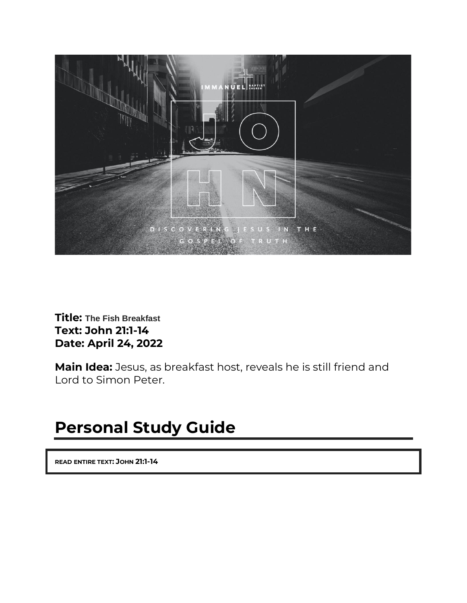

**Title: The Fish Breakfast Text: John 21:1-14 Date: April 24, 2022**

**Main Idea:** Jesus, as breakfast host, reveals he is still friend and Lord to Simon Peter.

# **Personal Study Guide**

**READ ENTIRE TEXT: JOHN 21:1-14**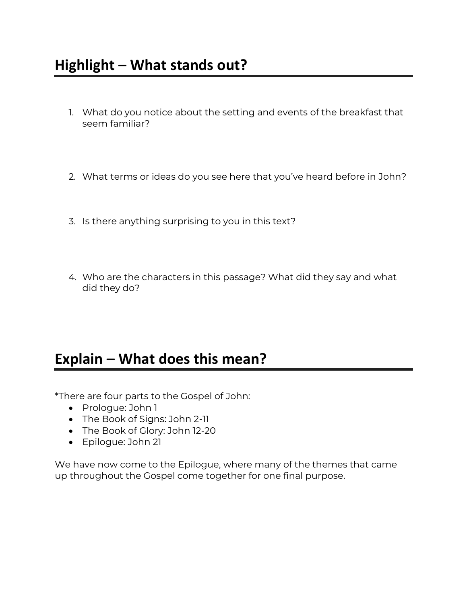- 1. What do you notice about the setting and events of the breakfast that seem familiar?
- 2. What terms or ideas do you see here that you've heard before in John?
- 3. Is there anything surprising to you in this text?
- 4. Who are the characters in this passage? What did they say and what did they do?

#### **Explain – What does this mean?**

\*There are four parts to the Gospel of John:

- Prologue: John 1
- The Book of Signs: John 2-11
- The Book of Glory: John 12-20
- Epilogue: John 21

We have now come to the Epilogue, where many of the themes that came up throughout the Gospel come together for one final purpose.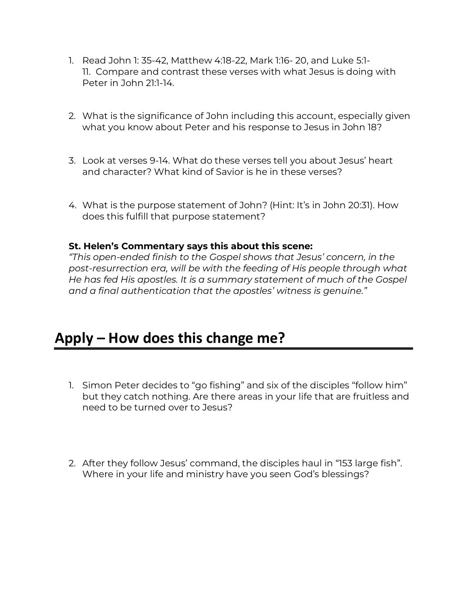- 1. Read John 1: 35-42, Matthew 4:18-22, Mark 1:16- 20, and Luke 5:1- 11. Compare and contrast these verses with what Jesus is doing with Peter in John 21:1-14.
- 2. What is the significance of John including this account, especially given what you know about Peter and his response to Jesus in John 18?
- 3. Look at verses 9-14. What do these verses tell you about Jesus' heart and character? What kind of Savior is he in these verses?
- 4. What is the purpose statement of John? (Hint: It's in John 20:31). How does this fulfill that purpose statement?

#### **St. Helen's Commentary says this about this scene:**

*"This open-ended finish to the Gospel shows that Jesus' concern, in the post-resurrection era, will be with the feeding of His people through what He has fed His apostles. It is a summary statement of much of the Gospel and a final authentication that the apostles' witness is genuine."*

## **Apply – How does this change me?**

- 1. Simon Peter decides to "go fishing" and six of the disciples "follow him" but they catch nothing. Are there areas in your life that are fruitless and need to be turned over to Jesus?
- 2. After they follow Jesus' command, the disciples haul in "153 large fish". Where in your life and ministry have you seen God's blessings?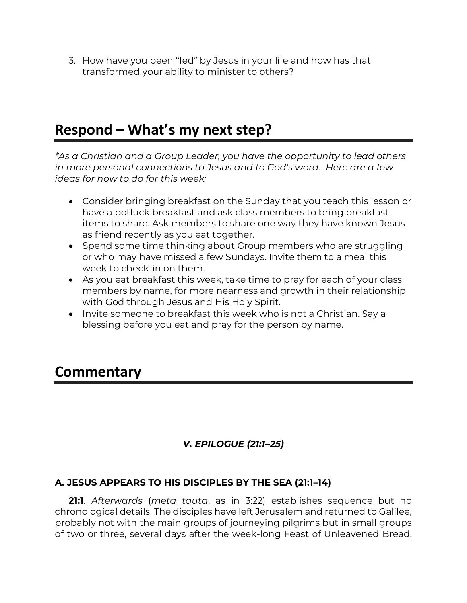3. How have you been "fed" by Jesus in your life and how has that transformed your ability to minister to others?

### **Respond – What's my next step?**

*\*As a Christian and a Group Leader, you have the opportunity to lead others in more personal connections to Jesus and to God's word. Here are a few ideas for how to do for this week:*

- Consider bringing breakfast on the Sunday that you teach this lesson or have a potluck breakfast and ask class members to bring breakfast items to share. Ask members to share one way they have known Jesus as friend recently as you eat together.
- Spend some time thinking about Group members who are struggling or who may have missed a few Sundays. Invite them to a meal this week to check-in on them.
- As you eat breakfast this week, take time to pray for each of your class members by name, for more nearness and growth in their relationship with God through Jesus and His Holy Spirit.
- Invite someone to breakfast this week who is not a Christian. Say a blessing before you eat and pray for the person by name.

### **Commentary**

#### *V. EPILOGUE (21:1–25)*

#### **A. JESUS APPEARS TO HIS DISCIPLES BY THE SEA (21:1–14)**

**21:1**. *Afterwards* (*meta tauta*, as in 3:22) establishes sequence but no chronological details. The disciples have left Jerusalem and returned to Galilee, probably not with the main groups of journeying pilgrims but in small groups of two or three, several days after the week-long Feast of Unleavened Bread.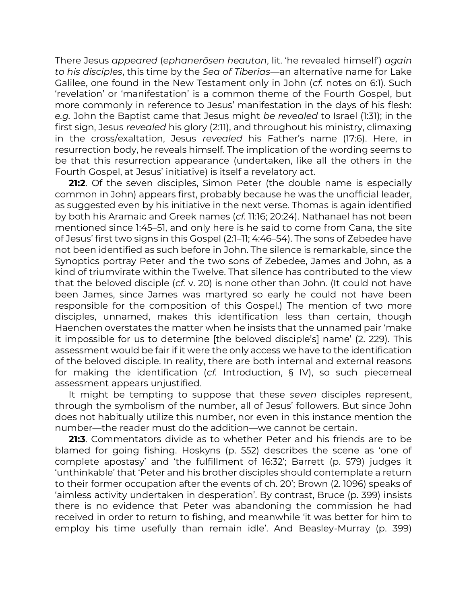There Jesus *appeared* (*ephanerōsen heauton*, lit. 'he revealed himself') *again to his disciples*, this time by the *Sea of Tiberias*—an alternative name for Lake Galilee, one found in the New Testament only in John (*cf.* notes on 6:1). Such 'revelation' or 'manifestation' is a common theme of the Fourth Gospel, but more commonly in reference to Jesus' manifestation in the days of his flesh: *e.g.* John the Baptist came that Jesus might *be revealed* to Israel (1:31); in the first sign, Jesus *revealed* his glory (2:11), and throughout his ministry, climaxing in the cross/exaltation, Jesus *revealed* his Father's name (17:6). Here, in resurrection body, he reveals himself. The implication of the wording seems to be that this resurrection appearance (undertaken, like all the others in the Fourth Gospel, at Jesus' initiative) is itself a revelatory act.

**21:2**. Of the seven disciples, Simon Peter (the double name is especially common in John) appears first, probably because he was the unofficial leader, as suggested even by his initiative in the next verse. Thomas is again identified by both his Aramaic and Greek names (*cf.* 11:16; 20:24). Nathanael has not been mentioned since 1:45–51, and only here is he said to come from Cana, the site of Jesus' first two signs in this Gospel (2:1–11; 4:46–54). The sons of Zebedee have not been identified as such before in John. The silence is remarkable, since the Synoptics portray Peter and the two sons of Zebedee, James and John, as a kind of triumvirate within the Twelve. That silence has contributed to the view that the beloved disciple (*cf.* v. 20) is none other than John. (It could not have been James, since James was martyred so early he could not have been responsible for the composition of this Gospel.) The mention of two more disciples, unnamed, makes this identification less than certain, though Haenchen overstates the matter when he insists that the unnamed pair 'make it impossible for us to determine [the beloved disciple's] name' (2. 229). This assessment would be fair if it were the only access we have to the identification of the beloved disciple. In reality, there are both internal and external reasons for making the identification (*cf.* Introduction, § IV), so such piecemeal assessment appears unjustified.

It might be tempting to suppose that these *seven* disciples represent, through the symbolism of the number, all of Jesus' followers. But since John does not habitually utilize this number, nor even in this instance mention the number—the reader must do the addition—we cannot be certain.

**21:3**. Commentators divide as to whether Peter and his friends are to be blamed for going fishing. Hoskyns (p. 552) describes the scene as 'one of complete apostasy' and 'the fulfillment of 16:32'; Barrett (p. 579) judges it 'unthinkable' that 'Peter and his brother disciples should contemplate a return to their former occupation after the events of ch. 20'; Brown (2. 1096) speaks of 'aimless activity undertaken in desperation'. By contrast, Bruce (p. 399) insists there is no evidence that Peter was abandoning the commission he had received in order to return to fishing, and meanwhile 'it was better for him to employ his time usefully than remain idle'. And Beasley-Murray (p. 399)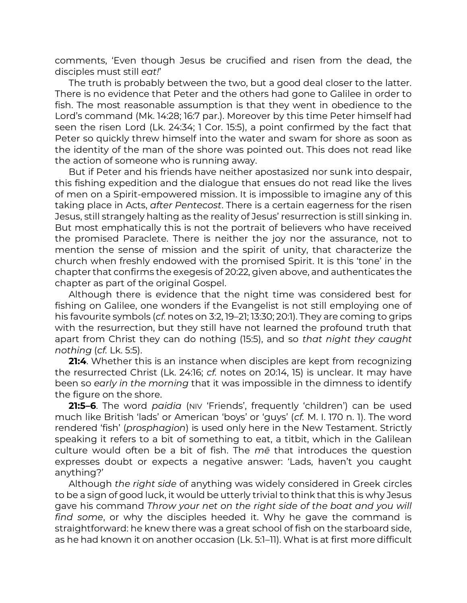comments, 'Even though Jesus be crucified and risen from the dead, the disciples must still *eat!*'

The truth is probably between the two, but a good deal closer to the latter. There is no evidence that Peter and the others had gone to Galilee in order to fish. The most reasonable assumption is that they went in obedience to the Lord's command (Mk. 14:28; 16:7 par.). Moreover by this time Peter himself had seen the risen Lord (Lk. 24:34; 1 Cor. 15:5), a point confirmed by the fact that Peter so quickly threw himself into the water and swam for shore as soon as the identity of the man of the shore was pointed out. This does not read like the action of someone who is running away.

But if Peter and his friends have neither apostasized nor sunk into despair, this fishing expedition and the dialogue that ensues do not read like the lives of men on a Spirit-empowered mission. It is impossible to imagine any of this taking place in Acts, *after Pentecost*. There is a certain eagerness for the risen Jesus, still strangely halting as the reality of Jesus' resurrection is still sinking in. But most emphatically this is not the portrait of believers who have received the promised Paraclete. There is neither the joy nor the assurance, not to mention the sense of mission and the spirit of unity, that characterize the church when freshly endowed with the promised Spirit. It is this 'tone' in the chapter that confirms the exegesis of 20:22, given above, and authenticates the chapter as part of the original Gospel.

Although there is evidence that the night time was considered best for fishing on Galilee, one wonders if the Evangelist is not still employing one of his favourite symbols (*cf.* notes on 3:2, 19–21; 13:30; 20:1). They are coming to grips with the resurrection, but they still have not learned the profound truth that apart from Christ they can do nothing (15:5), and so *that night they caught nothing* (*cf.* Lk. 5:5).

**21:4**. Whether this is an instance when disciples are kept from recognizing the resurrected Christ (Lk. 24:16; *cf.* notes on 20:14, 15) is unclear. It may have been so *early in the morning* that it was impossible in the dimness to identify the figure on the shore.

**21:5–6**. The word *paidia* (NIV 'Friends', frequently 'children') can be used much like British 'lads' or American 'boys' or 'guys' (*cf.* M. I. 170 n. 1). The word rendered 'fish' (*prosphagion*) is used only here in the New Testament. Strictly speaking it refers to a bit of something to eat, a titbit, which in the Galilean culture would often be a bit of fish. The *mē* that introduces the question expresses doubt or expects a negative answer: 'Lads, haven't you caught anything?'

Although *the right side* of anything was widely considered in Greek circles to be a sign of good luck, it would be utterly trivial to think that this is why Jesus gave his command *Throw your net on the right side of the boat and you will find some*, or why the disciples heeded it. Why he gave the command is straightforward: he knew there was a great school of fish on the starboard side, as he had known it on another occasion (Lk. 5:1–11). What is at first more difficult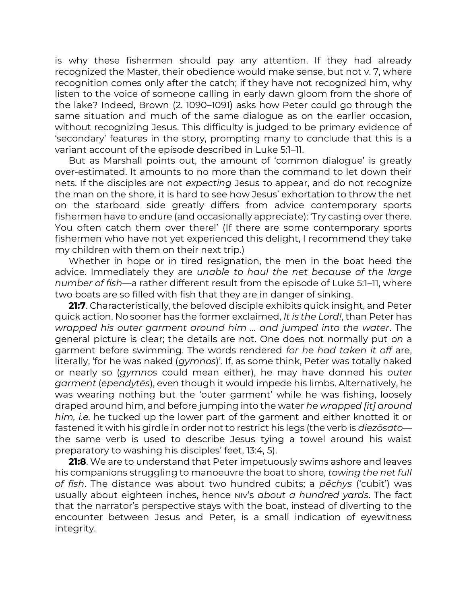is why these fishermen should pay any attention. If they had already recognized the Master, their obedience would make sense, but not v. 7, where recognition comes only after the catch; if they have not recognized him, why listen to the voice of someone calling in early dawn gloom from the shore of the lake? Indeed, Brown (2. 1090–1091) asks how Peter could go through the same situation and much of the same dialogue as on the earlier occasion, without recognizing Jesus. This difficulty is judged to be primary evidence of 'secondary' features in the story, prompting many to conclude that this is a variant account of the episode described in Luke 5:1–11.

But as Marshall points out, the amount of 'common dialogue' is greatly over-estimated. It amounts to no more than the command to let down their nets. If the disciples are not *expecting* Jesus to appear, and do not recognize the man on the shore, it is hard to see how Jesus' exhortation to throw the net on the starboard side greatly differs from advice contemporary sports fishermen have to endure (and occasionally appreciate): 'Try casting over there. You often catch them over there!' (If there are some contemporary sports fishermen who have not yet experienced this delight, I recommend they take my children with them on their next trip.)

Whether in hope or in tired resignation, the men in the boat heed the advice. Immediately they are *unable to haul the net because of the large number of fish*—a rather different result from the episode of Luke 5:1–11, where two boats are so filled with fish that they are in danger of sinking.

**21:7**. Characteristically, the beloved disciple exhibits quick insight, and Peter quick action. No sooner has the former exclaimed, *It is the Lord!*, than Peter has *wrapped his outer garment around him … and jumped into the water*. The general picture is clear; the details are not. One does not normally put *on* a garment before swimming. The words rendered *for he had taken it off* are, literally, 'for he was naked (*gymnos*)'. If, as some think, Peter was totally naked or nearly so (*gymnos* could mean either), he may have donned his *outer garment* (*ependytēs*), even though it would impede his limbs. Alternatively, he was wearing nothing but the 'outer garment' while he was fishing, loosely draped around him, and before jumping into the water *he wrapped [it] around him, i.e.* he tucked up the lower part of the garment and either knotted it or fastened it with his girdle in order not to restrict his legs (the verb is *diezōsato* the same verb is used to describe Jesus tying a towel around his waist preparatory to washing his disciples' feet, 13:4, 5).

**21:8**. We are to understand that Peter impetuously swims ashore and leaves his companions struggling to manoeuvre the boat to shore, *towing the net full of fish*. The distance was about two hundred cubits; a *pēchys* ('cubit') was usually about eighteen inches, hence NIV's *about a hundred yards*. The fact that the narrator's perspective stays with the boat, instead of diverting to the encounter between Jesus and Peter, is a small indication of eyewitness integrity.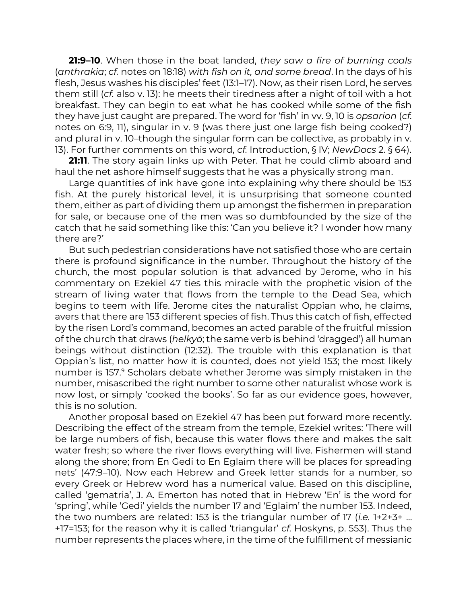**21:9–10**. When those in the boat landed, *they saw a fire of burning coals* (*anthrakia*; *cf.* notes on 18:18) *with fish on it, and some bread*. In the days of his flesh, Jesus washes his disciples' feet (13:1–17). Now, as their risen Lord, he serves them still (*cf.* also v. 13): he meets their tiredness after a night of toil with a hot breakfast. They can begin to eat what he has cooked while some of the fish they have just caught are prepared. The word for 'fish' in vv. 9, 10 is *opsarion* (*cf.* notes on 6:9, 11), singular in v. 9 (was there just one large fish being cooked?) and plural in v. 10–though the singular form can be collective, as probably in v. 13). For further comments on this word, *cf.* Introduction, § IV; *NewDocs* 2. § 64).

**21:11**. The story again links up with Peter. That he could climb aboard and haul the net ashore himself suggests that he was a physically strong man.

Large quantities of ink have gone into explaining why there should be 153 fish. At the purely historical level, it is unsurprising that someone counted them, either as part of dividing them up amongst the fishermen in preparation for sale, or because one of the men was so dumbfounded by the size of the catch that he said something like this: 'Can you believe it? I wonder how many there are?'

But such pedestrian considerations have not satisfied those who are certain there is profound significance in the number. Throughout the history of the church, the most popular solution is that advanced by Jerome, who in his commentary on Ezekiel 47 ties this miracle with the prophetic vision of the stream of living water that flows from the temple to the Dead Sea, which begins to teem with life. Jerome cites the naturalist Oppian who, he claims, avers that there are 153 different species of fish. Thus this catch of fish, effected by the risen Lord's command, becomes an acted parable of the fruitful mission of the church that draws (*helkyō*; the same verb is behind 'dragged') all human beings without distinction (12:32). The trouble with this explanation is that Oppian's list, no matter how it is counted, does not yield 153; the most likely number is 157.<sup>9</sup> Scholars debate whether Jerome was simply mistaken in the number, misascribed the right number to some other naturalist whose work is now lost, or simply 'cooked the books'. So far as our evidence goes, however, this is no solution.

Another proposal based on Ezekiel 47 has been put forward more recently. Describing the effect of the stream from the temple, Ezekiel writes: 'There will be large numbers of fish, because this water flows there and makes the salt water fresh; so where the river flows everything will live. Fishermen will stand along the shore; from En Gedi to En Eglaim there will be places for spreading nets' (47:9–10). Now each Hebrew and Greek letter stands for a number, so every Greek or Hebrew word has a numerical value. Based on this discipline, called 'gematria', J. A. Emerton has noted that in Hebrew 'En' is the word for 'spring', while 'Gedi' yields the number 17 and 'Eglaim' the number 153. Indeed, the two numbers are related: 153 is the triangular number of 17 (*i.e.* 1+2+3+ … +17=153; for the reason why it is called 'triangular' *cf.* Hoskyns, p. 553). Thus the number represents the places where, in the time of the fulfillment of messianic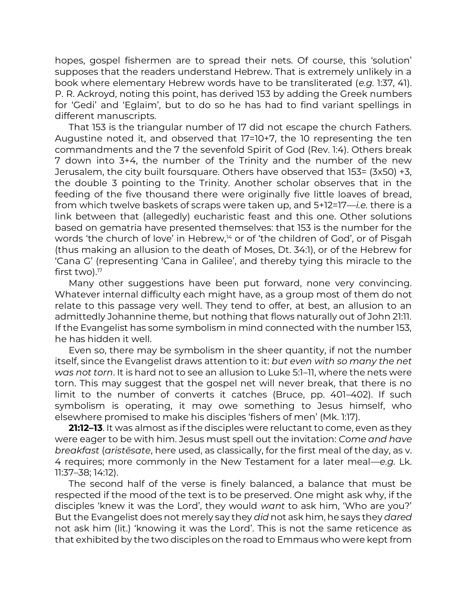hopes, gospel fishermen are to spread their nets. Of course, this 'solution' supposes that the readers understand Hebrew. That is extremely unlikely in a book where elementary Hebrew words have to be transliterated (*e.g.* 1:37, 41). P. R. Ackroyd, noting this point, has derived 153 by adding the Greek numbers for 'Gedi' and 'Eglaim', but to do so he has had to find variant spellings in different manuscripts.

That 153 is the triangular number of 17 did not escape the church Fathers. Augustine noted it, and observed that 17=10+7, the 10 representing the ten commandments and the 7 the sevenfold Spirit of God (Rev. 1:4). Others break 7 down into 3+4, the number of the Trinity and the number of the new Jerusalem, the city built foursquare. Others have observed that 153= (3x50) +3, the double 3 pointing to the Trinity. Another scholar observes that in the feeding of the five thousand there were originally five little loaves of bread, from which twelve baskets of scraps were taken up, and 5+12=17—*i.e.* there is a link between that (allegedly) eucharistic feast and this one. Other solutions based on gematria have presented themselves: that 153 is the number for the words 'the church of love' in Hebrew,<sup>14</sup> or of 'the children of God', or of Pisgah (thus making an allusion to the death of Moses, Dt. 34:1), or of the Hebrew for 'Cana G' (representing 'Cana in Galilee', and thereby tying this miracle to the first two).<sup>17</sup>

Many other suggestions have been put forward, none very convincing. Whatever internal difficulty each might have, as a group most of them do not relate to this passage very well. They tend to offer, at best, an allusion to an admittedly Johannine theme, but nothing that flows naturally out of John 21:11. If the Evangelist has some symbolism in mind connected with the number 153, he has hidden it well.

Even so, there may be symbolism in the sheer quantity, if not the number itself, since the Evangelist draws attention to it: *but even with so many the net was not torn*. It is hard not to see an allusion to Luke 5:1–11, where the nets were torn. This may suggest that the gospel net will never break, that there is no limit to the number of converts it catches (Bruce, pp. 401–402). If such symbolism is operating, it may owe something to Jesus himself, who elsewhere promised to make his disciples 'fishers of men' (Mk. 1:17).

**21:12–13**. It was almost as if the disciples were reluctant to come, even as they were eager to be with him. Jesus must spell out the invitation: *Come and have breakfast* (*aristēsate*, here used, as classically, for the first meal of the day, as v. 4 requires; more commonly in the New Testament for a later meal—*e.g.* Lk. 11:37–38; 14:12).

The second half of the verse is finely balanced, a balance that must be respected if the mood of the text is to be preserved. One might ask why, if the disciples 'knew it was the Lord', they would *want* to ask him, 'Who are you?' But the Evangelist does not merely say they *did* not ask him, he says they *dared* not ask him (lit.) 'knowing it was the Lord'. This is not the same reticence as that exhibited by the two disciples on the road to Emmaus who were kept from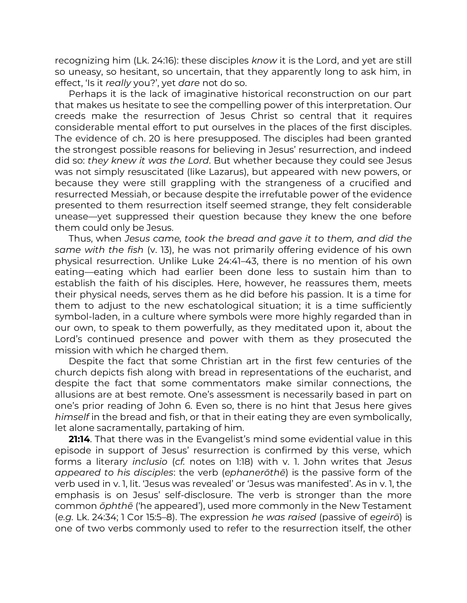recognizing him (Lk. 24:16): these disciples *know* it is the Lord, and yet are still so uneasy, so hesitant, so uncertain, that they apparently long to ask him, in effect, 'Is it *really* you?', yet *dare* not do so.

Perhaps it is the lack of imaginative historical reconstruction on our part that makes us hesitate to see the compelling power of this interpretation. Our creeds make the resurrection of Jesus Christ so central that it requires considerable mental effort to put ourselves in the places of the first disciples. The evidence of ch. 20 is here presupposed. The disciples had been granted the strongest possible reasons for believing in Jesus' resurrection, and indeed did so: *they knew it was the Lord*. But whether because they could see Jesus was not simply resuscitated (like Lazarus), but appeared with new powers, or because they were still grappling with the strangeness of a crucified and resurrected Messiah, or because despite the irrefutable power of the evidence presented to them resurrection itself seemed strange, they felt considerable unease—yet suppressed their question because they knew the one before them could only be Jesus.

Thus, when *Jesus came, took the bread and gave it to them, and did the same with the fish* (v. 13), he was not primarily offering evidence of his own physical resurrection. Unlike Luke 24:41–43, there is no mention of his own eating—eating which had earlier been done less to sustain him than to establish the faith of his disciples. Here, however, he reassures them, meets their physical needs, serves them as he did before his passion. It is a time for them to adjust to the new eschatological situation; it is a time sufficiently symbol-laden, in a culture where symbols were more highly regarded than in our own, to speak to them powerfully, as they meditated upon it, about the Lord's continued presence and power with them as they prosecuted the mission with which he charged them.

Despite the fact that some Christian art in the first few centuries of the church depicts fish along with bread in representations of the eucharist, and despite the fact that some commentators make similar connections, the allusions are at best remote. One's assessment is necessarily based in part on one's prior reading of John 6. Even so, there is no hint that Jesus here gives *himself* in the bread and fish, or that in their eating they are even symbolically, let alone sacramentally, partaking of him.

**21:14**. That there was in the Evangelist's mind some evidential value in this episode in support of Jesus' resurrection is confirmed by this verse, which forms a literary *inclusio* (*cf.* notes on 1:18) with v. 1. John writes that *Jesus appeared to his disciples*: the verb (*ephanerōthē*) is the passive form of the verb used in v. 1, lit. 'Jesus was revealed' or 'Jesus was manifested'. As in v. 1, the emphasis is on Jesus' self-disclosure. The verb is stronger than the more common *ōphthē* ('he appeared'), used more commonly in the New Testament (*e.g.* Lk. 24:34; 1 Cor 15:5–8). The expression *he was raised* (passive of *egeirō*) is one of two verbs commonly used to refer to the resurrection itself, the other